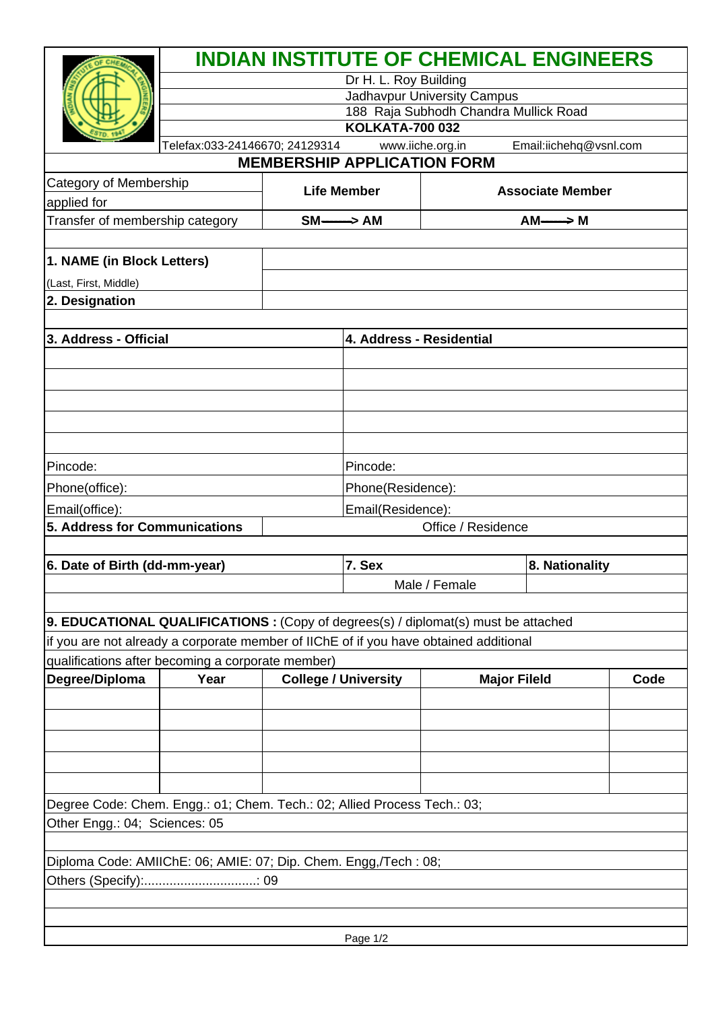|                                                                                           |                                | Dr H. L. Roy Building              | <b>INDIAN INSTITUTE OF CHEMICAL ENGINEERS</b> |                         |      |
|-------------------------------------------------------------------------------------------|--------------------------------|------------------------------------|-----------------------------------------------|-------------------------|------|
|                                                                                           |                                |                                    | Jadhavpur University Campus                   |                         |      |
|                                                                                           |                                |                                    | 188 Raja Subhodh Chandra Mullick Road         |                         |      |
|                                                                                           |                                | <b>KOLKATA-700 032</b>             |                                               |                         |      |
|                                                                                           | Telefax:033-24146670; 24129314 | <b>MEMBERSHIP APPLICATION FORM</b> | www.iiche.org.in                              | Email:iichehq@vsnl.com  |      |
| Category of Membership                                                                    |                                |                                    |                                               |                         |      |
| applied for                                                                               |                                | <b>Life Member</b>                 |                                               | <b>Associate Member</b> |      |
| Transfer of membership category                                                           |                                | $SM \longrightarrow AM$            |                                               | $AM \longrightarrow M$  |      |
|                                                                                           |                                |                                    |                                               |                         |      |
| 1. NAME (in Block Letters)                                                                |                                |                                    |                                               |                         |      |
| (Last, First, Middle)                                                                     |                                |                                    |                                               |                         |      |
| 2. Designation                                                                            |                                |                                    |                                               |                         |      |
| 3. Address - Official                                                                     |                                | 4. Address - Residential           |                                               |                         |      |
|                                                                                           |                                |                                    |                                               |                         |      |
|                                                                                           |                                |                                    |                                               |                         |      |
|                                                                                           |                                |                                    |                                               |                         |      |
|                                                                                           |                                |                                    |                                               |                         |      |
|                                                                                           |                                |                                    |                                               |                         |      |
| Pincode:                                                                                  |                                | Pincode:                           |                                               |                         |      |
| Phone(office):                                                                            |                                | Phone(Residence):                  |                                               |                         |      |
| Email(office):                                                                            |                                | Email(Residence):                  |                                               |                         |      |
| 5. Address for Communications                                                             |                                |                                    | Office / Residence                            |                         |      |
|                                                                                           |                                |                                    |                                               |                         |      |
| 6. Date of Birth (dd-mm-year)                                                             |                                | 7. Sex                             |                                               | 8. Nationality          |      |
|                                                                                           |                                |                                    | Male / Female                                 |                         |      |
|                                                                                           |                                |                                    |                                               |                         |      |
| <b>9. EDUCATIONAL QUALIFICATIONS :</b> (Copy of degrees(s) / diplomat(s) must be attached |                                |                                    |                                               |                         |      |
| if you are not already a corporate member of IIChE of if you have obtained additional     |                                |                                    |                                               |                         |      |
| qualifications after becoming a corporate member)                                         |                                |                                    |                                               |                         |      |
| Degree/Diploma                                                                            | Year                           | <b>College / University</b>        | <b>Major Fileld</b>                           |                         | Code |
|                                                                                           |                                |                                    |                                               |                         |      |
|                                                                                           |                                |                                    |                                               |                         |      |
|                                                                                           |                                |                                    |                                               |                         |      |
|                                                                                           |                                |                                    |                                               |                         |      |
|                                                                                           |                                |                                    |                                               |                         |      |
| Degree Code: Chem. Engg.: o1; Chem. Tech.: 02; Allied Process Tech.: 03;                  |                                |                                    |                                               |                         |      |
| Other Engg.: 04; Sciences: 05                                                             |                                |                                    |                                               |                         |      |
|                                                                                           |                                |                                    |                                               |                         |      |
| Diploma Code: AMIIChE: 06; AMIE: 07; Dip. Chem. Engg,/Tech : 08;                          |                                |                                    |                                               |                         |      |
|                                                                                           |                                |                                    |                                               |                         |      |
|                                                                                           |                                |                                    |                                               |                         |      |
|                                                                                           |                                | Page 1/2                           |                                               |                         |      |